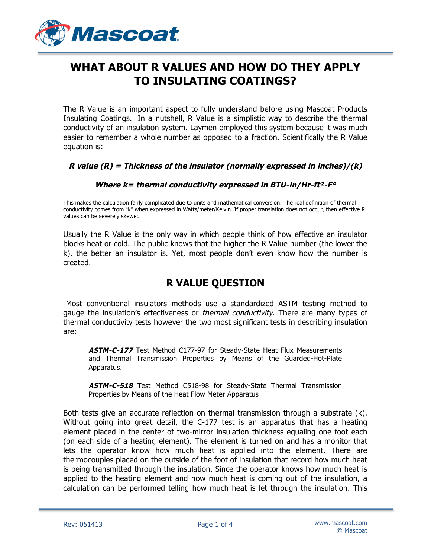

# **WHAT ABOUT R VALUES AND HOW DO THEY APPLY TO INSULATING COATINGS?**

The R Value is an important aspect to fully understand before using Mascoat Products Insulating Coatings. In a nutshell, R Value is a simplistic way to describe the thermal conductivity of an insulation system. Laymen employed this system because it was much easier to remember a whole number as opposed to a fraction. Scientifically the R Value equation is:

#### **R value (R) = Thickness of the insulator (normally expressed in inches)/(k)**

#### **Where k= thermal conductivity expressed in BTU-in/Hr-ft²-F°**

This makes the calculation fairly complicated due to units and mathematical conversion. The real definition of thermal conductivity comes from "k" when expressed in Watts/meter/Kelvin. If proper translation does not occur, then effective R values can be severely skewed

Usually the R Value is the only way in which people think of how effective an insulator blocks heat or cold. The public knows that the higher the R Value number (the lower the k), the better an insulator is. Yet, most people don't even know how the number is created.

#### **R VALUE QUESTION**

Most conventional insulators methods use a standardized ASTM testing method to gauge the insulation's effectiveness or *thermal conductivity*. There are many types of thermal conductivity tests however the two most significant tests in describing insulation are:

ASTM-C-177 Test Method C177-97 for Steady-State Heat Flux Measurements and Thermal Transmission Properties by Means of the Guarded-Hot-Plate Apparatus.

**ASTM-C-518** Test Method C518-98 for Steady-State Thermal Transmission Properties by Means of the Heat Flow Meter Apparatus

Both tests give an accurate reflection on thermal transmission through a substrate (k). Without going into great detail, the C-177 test is an apparatus that has a heating element placed in the center of two-mirror insulation thickness equaling one foot each (on each side of a heating element). The element is turned on and has a monitor that lets the operator know how much heat is applied into the element. There are thermocouples placed on the outside of the foot of insulation that record how much heat is being transmitted through the insulation. Since the operator knows how much heat is applied to the heating element and how much heat is coming out of the insulation, a calculation can be performed telling how much heat is let through the insulation. This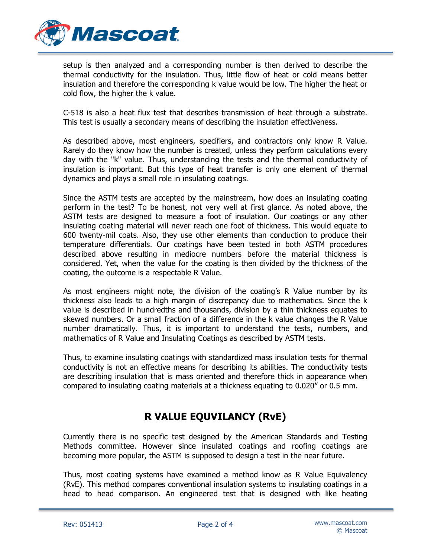

setup is then analyzed and a corresponding number is then derived to describe the thermal conductivity for the insulation. Thus, little flow of heat or cold means better insulation and therefore the corresponding k value would be low. The higher the heat or cold flow, the higher the k value.

C-518 is also a heat flux test that describes transmission of heat through a substrate. This test is usually a secondary means of describing the insulation effectiveness.

As described above, most engineers, specifiers, and contractors only know R Value. Rarely do they know how the number is created, unless they perform calculations every day with the "k" value. Thus, understanding the tests and the thermal conductivity of insulation is important. But this type of heat transfer is only one element of thermal dynamics and plays a small role in insulating coatings.

Since the ASTM tests are accepted by the mainstream, how does an insulating coating perform in the test? To be honest, not very well at first glance. As noted above, the ASTM tests are designed to measure a foot of insulation. Our coatings or any other insulating coating material will never reach one foot of thickness. This would equate to 600 twenty-mil coats. Also, they use other elements than conduction to produce their temperature differentials. Our coatings have been tested in both ASTM procedures described above resulting in mediocre numbers before the material thickness is considered. Yet, when the value for the coating is then divided by the thickness of the coating, the outcome is a respectable R Value.

As most engineers might note, the division of the coating's R Value number by its thickness also leads to a high margin of discrepancy due to mathematics. Since the k value is described in hundredths and thousands, division by a thin thickness equates to skewed numbers. Or a small fraction of a difference in the k value changes the R Value number dramatically. Thus, it is important to understand the tests, numbers, and mathematics of R Value and Insulating Coatings as described by ASTM tests.

Thus, to examine insulating coatings with standardized mass insulation tests for thermal conductivity is not an effective means for describing its abilities. The conductivity tests are describing insulation that is mass oriented and therefore thick in appearance when compared to insulating coating materials at a thickness equating to 0.020" or 0.5 mm.

## **R VALUE EQUVILANCY (RvE)**

Currently there is no specific test designed by the American Standards and Testing Methods committee. However since insulated coatings and roofing coatings are becoming more popular, the ASTM is supposed to design a test in the near future.

Thus, most coating systems have examined a method know as R Value Equivalency (RvE). This method compares conventional insulation systems to insulating coatings in a head to head comparison. An engineered test that is designed with like heating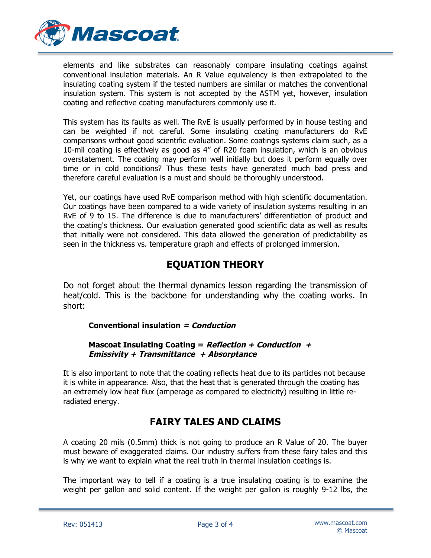

elements and like substrates can reasonably compare insulating coatings against conventional insulation materials. An R Value equivalency is then extrapolated to the insulating coating system if the tested numbers are similar or matches the conventional insulation system. This system is not accepted by the ASTM yet, however, insulation coating and reflective coating manufacturers commonly use it.

This system has its faults as well. The RvE is usually performed by in house testing and can be weighted if not careful. Some insulating coating manufacturers do RvE comparisons without good scientific evaluation. Some coatings systems claim such, as a 10-mil coating is effectively as good as 4" of R20 foam insulation, which is an obvious overstatement. The coating may perform well initially but does it perform equally over time or in cold conditions? Thus these tests have generated much bad press and therefore careful evaluation is a must and should be thoroughly understood.

Yet, our coatings have used RvE comparison method with high scientific documentation. Our coatings have been compared to a wide variety of insulation systems resulting in an RvE of 9 to 15. The difference is due to manufacturers' differentiation of product and the coating's thickness. Our evaluation generated good scientific data as well as results that initially were not considered. This data allowed the generation of predictability as seen in the thickness vs. temperature graph and effects of prolonged immersion.

## **EQUATION THEORY**

Do not forget about the thermal dynamics lesson regarding the transmission of heat/cold. This is the backbone for understanding why the coating works. In short:

#### **Conventional insulation = Conduction**

#### **Mascoat Insulating Coating = Reflection + Conduction + Emissivity + Transmittance + Absorptance**

It is also important to note that the coating reflects heat due to its particles not because it is white in appearance. Also, that the heat that is generated through the coating has an extremely low heat flux (amperage as compared to electricity) resulting in little reradiated energy.

### **FAIRY TALES AND CLAIMS**

A coating 20 mils (0.5mm) thick is not going to produce an R Value of 20. The buyer must beware of exaggerated claims. Our industry suffers from these fairy tales and this is why we want to explain what the real truth in thermal insulation coatings is.

The important way to tell if a coating is a true insulating coating is to examine the weight per gallon and solid content. If the weight per gallon is roughly 9-12 lbs, the